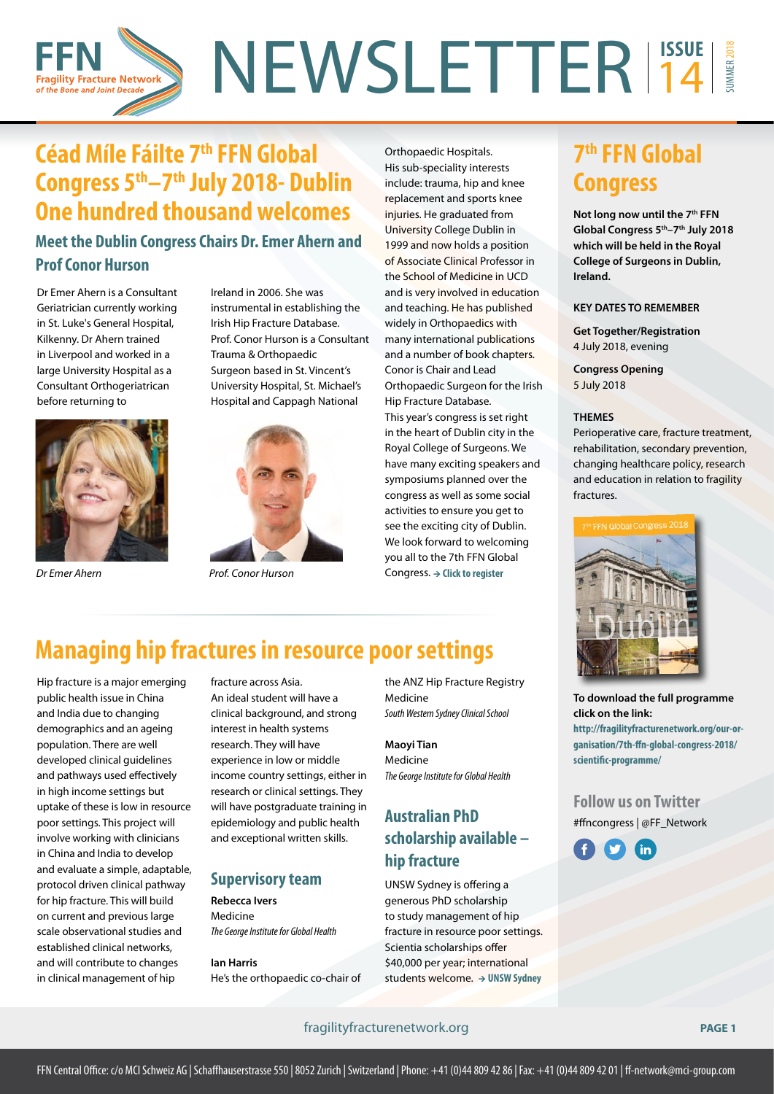### NEWSLETTER<sup>13506</sup> SUMMER 2018 14 **Fragility Fracture Network** of the Bone and Joint Decade

# **Céad Míle Fáilte 7th FFN Global Congress 5th–7th July 2018- Dublin One hundred thousand welcomes**

## **Meet the Dublin Congress Chairs Dr. Emer Ahern and Prof Conor Hurson**

Dr Emer Ahern is a Consultant Geriatrician currently working in St. Luke's General Hospital, Kilkenny. Dr Ahern trained in Liverpool and worked in a large University Hospital as a Consultant Orthogeriatrican before returning to



Ireland in 2006. She was instrumental in establishing the Irish Hip Fracture Database. Prof. Conor Hurson is a Consultant Trauma & Orthopaedic Surgeon based in St. Vincent's University Hospital, St. Michael's Hospital and Cappagh National



*Dr Emer Ahern Prof. Conor Hurson*

Orthopaedic Hospitals. His sub-speciality interests include: trauma, hip and knee replacement and sports knee injuries. He graduated from University College Dublin in 1999 and now holds a position of Associate Clinical Professor in the School of Medicine in UCD and is very involved in education and teaching. He has published widely in Orthopaedics with many international publications and a number of book chapters. Conor is Chair and Lead Orthopaedic Surgeon for the Irish Hip Fracture Database. This year's congress is set right in the heart of Dublin city in the Royal College of Surgeons. We have many exciting speakers and symposiums planned over the congress as well as some social activities to ensure you get to see the exciting city of Dublin. We look forward to welcoming you all to the 7th FFN Global Congress. → Click to register

## **7th FFN Global Congress**

**Not long now until the 7th FFN Global Congress 5th–7th July 2018 which will be held in the Royal College of Surgeons in Dublin, Ireland.** 

#### **KEY DATES TO REMEMBER**

**Get Together/Registration** 4 July 2018, evening

**Congress Opening** 5 July 2018

#### **THEMES**

Perioperative care, fracture treatment, rehabilitation, secondary prevention, changing healthcare policy, research and education in relation to fragility fractures.



**To download the full programme click on the link:**

**[http://fragilityfracturenetwork.org/our-or](http://fragilityfracturenetwork.org/our-organisation/7th-ffn-global-congress-2018/scientific-programme/)[ganisation/7th-ffn-global-congress-2018/](http://fragilityfracturenetwork.org/our-organisation/7th-ffn-global-congress-2018/scientific-programme/) [scientific-programme/](http://fragilityfracturenetwork.org/our-organisation/7th-ffn-global-congress-2018/scientific-programme/)**

**Follow us on Twitter** #ffncongress | @FF\_Network



# **Managing hip fractures in resource poor settings**

Hip fracture is a major emerging public health issue in China and India due to changing demographics and an ageing population. There are well developed clinical guidelines and pathways used effectively in high income settings but uptake of these is low in resource poor settings. This project will involve working with clinicians in China and India to develop and evaluate a simple, adaptable, protocol driven clinical pathway for hip fracture. This will build on current and previous large scale observational studies and established clinical networks, and will contribute to changes in clinical management of hip

fracture across Asia. An ideal student will have a clinical background, and strong interest in health systems research. They will have experience in low or middle income country settings, either in research or clinical settings. They will have postgraduate training in epidemiology and public health and exceptional written skills.

#### **Supervisory team**

**Rebecca Ivers**  Medicine

*The George Institute for Global Health*

**Ian Harris** He's the orthopaedic co-chair of

the ANZ Hip Fracture Registry Medicine *South Western Sydney Clinical School*

**Maoyi Tian**  Medicine *The George Institute for Global Health*

## **Australian PhD scholarship available – hip fracture**

UNSW Sydney is offering a generous PhD scholarship to study management of hip fracture in resource poor settings. Scientia scholarships offer \$40,000 per year; international students welcome.  **> UNSW Sydney** 

#### fragilityfracturenetwork.org **PAGE 1**